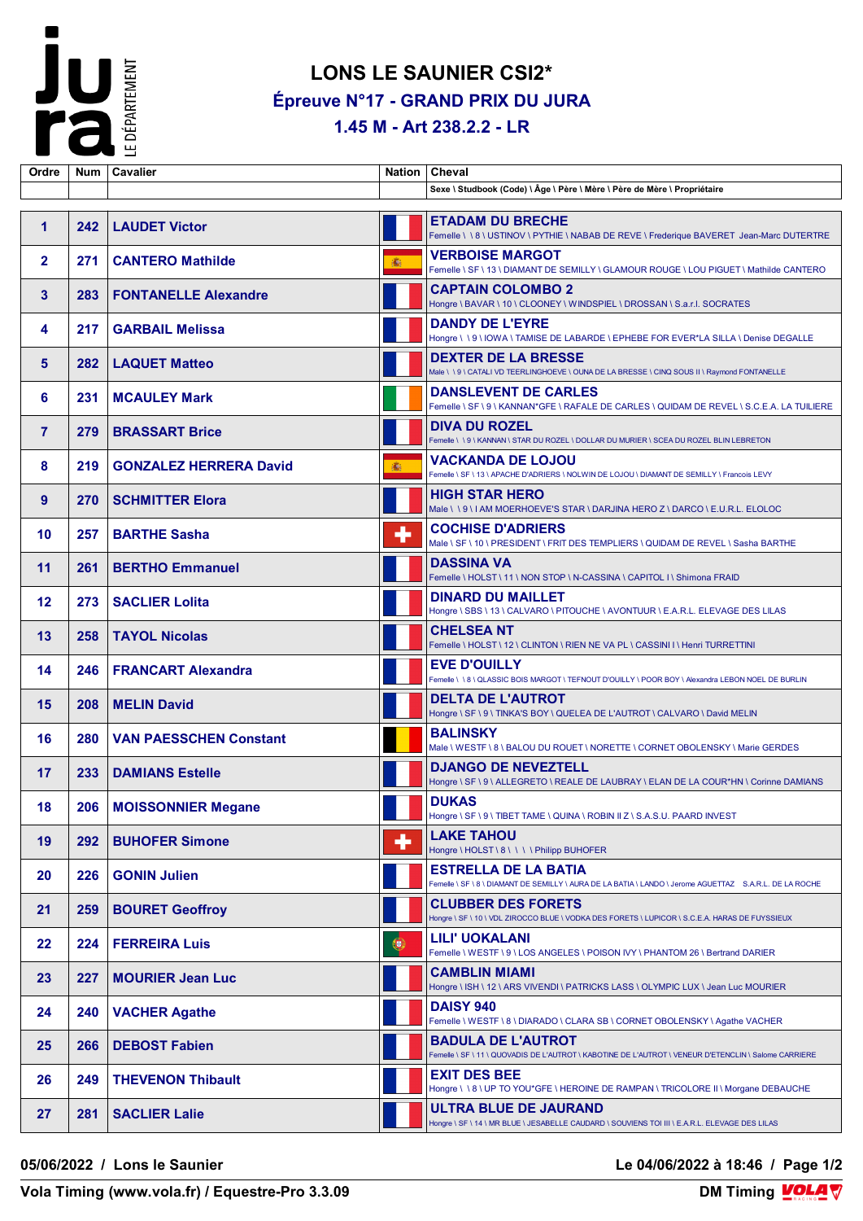

## **LONS LE SAUNIER CSI2\* Épreuve N°17 - GRAND PRIX DU JURA**

**1.45 M - Art 238.2.2 - LR**

| Ordre          |     | Num   Cavalier                |           | Nation   Cheval                                                                                                                        |
|----------------|-----|-------------------------------|-----------|----------------------------------------------------------------------------------------------------------------------------------------|
|                |     |                               |           | Sexe \ Studbook (Code) \ Âge \ Père \ Mère \ Père de Mère \ Propriétaire                                                               |
|                |     |                               |           |                                                                                                                                        |
| $\mathbf{1}$   | 242 | <b>LAUDET Victor</b>          |           | <b>ETADAM DU BRECHE</b><br>Femelle \ \ 8 \ USTINOV \ PYTHIE \ NABAB DE REVE \ Frederique BAVERET Jean-Marc DUTERTRE                    |
| $\mathbf{2}$   | 271 | <b>CANTERO Mathilde</b>       | 1         | <b>VERBOISE MARGOT</b><br>Femelle \ SF \ 13 \ DIAMANT DE SEMILLY \ GLAMOUR ROUGE \ LOU PIGUET \ Mathilde CANTERO                       |
| 3              | 283 | <b>FONTANELLE Alexandre</b>   |           | <b>CAPTAIN COLOMBO 2</b><br>Hongre \ BAVAR \ 10 \ CLOONEY \ WINDSPIEL \ DROSSAN \ S.a.r.l. SOCRATES                                    |
| 4              | 217 | <b>GARBAIL Melissa</b>        |           | <b>DANDY DE L'EYRE</b><br>Hongre \ \ 9 \ IOWA \ TAMISE DE LABARDE \ EPHEBE FOR EVER*LA SILLA \ Denise DEGALLE                          |
| 5              | 282 | <b>LAQUET Matteo</b>          |           | <b>DEXTER DE LA BRESSE</b><br>Male \ \ 9 \ CATALI VD TEERLINGHOEVE \ OUNA DE LA BRESSE \ CINQ SOUS II \ Raymond FONTANELLE             |
| 6              | 231 | <b>MCAULEY Mark</b>           |           | <b>DANSLEVENT DE CARLES</b><br>Femelle \ SF \ 9 \ KANNAN*GFE \ RAFALE DE CARLES \ QUIDAM DE REVEL \ S.C.E.A. LA TUILIERE               |
| $\overline{7}$ | 279 | <b>BRASSART Brice</b>         |           | <b>DIVA DU ROZEL</b><br>Femelle \\9\KANNAN\STAR DU ROZEL\DOLLAR DU MURIER\SCEA DU ROZEL BLIN LEBRETON                                  |
| 8              | 219 | <b>GONZALEZ HERRERA David</b> | 16.       | <b>VACKANDA DE LOJOU</b><br>Femelle \ SF \ 13 \ APACHE D'ADRIERS \ NOLWIN DE LOJOU \ DIAMANT DE SEMILLY \ Francois LEVY                |
| 9              | 270 | <b>SCHMITTER Elora</b>        |           | <b>HIGH STAR HERO</b><br>Male \\9\IAM MOERHOEVE'S STAR \DARJINA HERO Z \DARCO \E.U.R.L. ELOLOC                                         |
| 10             | 257 | <b>BARTHE Sasha</b>           | ٠         | <b>COCHISE D'ADRIERS</b><br>Male \ SF \ 10 \ PRESIDENT \ FRIT DES TEMPLIERS \ QUIDAM DE REVEL \ Sasha BARTHE                           |
| 11             | 261 | <b>BERTHO Emmanuel</b>        |           | <b>DASSINA VA</b><br>Femelle \HOLST\11\NON STOP \N-CASSINA \CAPITOL I \ Shimona FRAID                                                  |
| 12             | 273 | <b>SACLIER Lolita</b>         |           | <b>DINARD DU MAILLET</b><br>Hongre \ SBS \ 13 \ CALVARO \ PITOUCHE \ AVONTUUR \ E.A.R.L. ELEVAGE DES LILAS                             |
| 13             | 258 | <b>TAYOL Nicolas</b>          |           | <b>CHELSEA NT</b><br>Femelle \ HOLST \ 12 \ CLINTON \ RIEN NE VA PL \ CASSINI I \ Henri TURRETTINI                                     |
| 14             | 246 | <b>FRANCART Alexandra</b>     |           | <b>EVE D'OUILLY</b><br>Femelle \ \ 8 \ QLASSIC BOIS MARGOT \ TEFNOUT D'OUILLY \ POOR BOY \ Alexandra LEBON NOEL DE BURLIN              |
| 15             | 208 | <b>MELIN David</b>            |           | <b>DELTA DE L'AUTROT</b><br>Hongre \ SF \ 9 \ TINKA'S BOY \ QUELEA DE L'AUTROT \ CALVARO \ David MELIN                                 |
| 16             | 280 | <b>VAN PAESSCHEN Constant</b> |           | <b>BALINSKY</b><br>Male \ WESTF \ 8 \ BALOU DU ROUET \ NORETTE \ CORNET OBOLENSKY \ Marie GERDES                                       |
| 17             | 233 | <b>DAMIANS Estelle</b>        |           | <b>DJANGO DE NEVEZTELL</b><br>Hongre \ SF \ 9 \ ALLEGRETO \ REALE DE LAUBRAY \ ELAN DE LA COUR*HN \ Corinne DAMIANS                    |
| 18             |     | 206   MOISSONNIER Megane      |           | <b>DUKAS</b><br>Hongre \ SF \ 9 \ TIBET TAME \ QUINA \ ROBIN II Z \ S.A.S.U. PAARD INVEST                                              |
| 19             | 292 | <b>BUHOFER Simone</b>         | ٠         | <b>LAKE TAHOU</b><br>Hongre \ HOLST \ 8 \ \ \ \ Philipp BUHOFER                                                                        |
| 20             | 226 | <b>GONIN Julien</b>           |           | <b>ESTRELLA DE LA BATIA</b><br>Femelle \ SF \ 8 \ DIAMANT DE SEMILLY \ AURA DE LA BATIA \ LANDO \ Jerome AGUETTAZ S.A.R.L. DE LA ROCHE |
| 21             | 259 | <b>BOURET Geoffroy</b>        |           | <b>CLUBBER DES FORETS</b><br>Hongre \ SF \ 10 \ VDL ZIROCCO BLUE \ VODKA DES FORETS \ LUPICOR \ S.C.E.A. HARAS DE FUYSSIEUX            |
| $22 \,$        | 224 | <b>FERREIRA Luis</b>          | $\bullet$ | LILI' UOKALANI<br>Femelle \ WESTF \ 9 \ LOS ANGELES \ POISON IVY \ PHANTOM 26 \ Bertrand DARIER                                        |
| 23             | 227 | <b>MOURIER Jean Luc</b>       |           | <b>CAMBLIN MIAMI</b><br>Hongre \ ISH \ 12 \ ARS VIVENDI \ PATRICKS LASS \ OLYMPIC LUX \ Jean Luc MOURIER                               |
| 24             | 240 | <b>VACHER Agathe</b>          |           | <b>DAISY 940</b><br>Femelle \ WESTF \ 8 \ DIARADO \ CLARA SB \ CORNET OBOLENSKY \ Agathe VACHER                                        |
| 25             | 266 | <b>DEBOST Fabien</b>          |           | <b>BADULA DE L'AUTROT</b><br>Femelle \ SF \ 11 \ QUOVADIS DE L'AUTROT \ KABOTINE DE L'AUTROT \ VENEUR D'ETENCLIN \ Salome CARRIERE     |
| 26             | 249 | <b>THEVENON Thibault</b>      |           | <b>EXIT DES BEE</b><br>Hongre \ \ 8 \ UP TO YOU*GFE \ HEROINE DE RAMPAN \ TRICOLORE II \ Morgane DEBAUCHE                              |
| 27             | 281 | <b>SACLIER Lalie</b>          |           | ULTRA BLUE DE JAURAND<br>Hongre \ SF \ 14 \ MR BLUE \ JESABELLE CAUDARD \ SOUVIENS TOI III \ E.A.R.L. ELEVAGE DES LILAS                |

**05/06/2022 / Lons le Saunier Le 04/06/2022 à 18:46 / Page 1/2**

**Vola Timing (www.vola.fr) / Equestre-Pro 3.3.09**